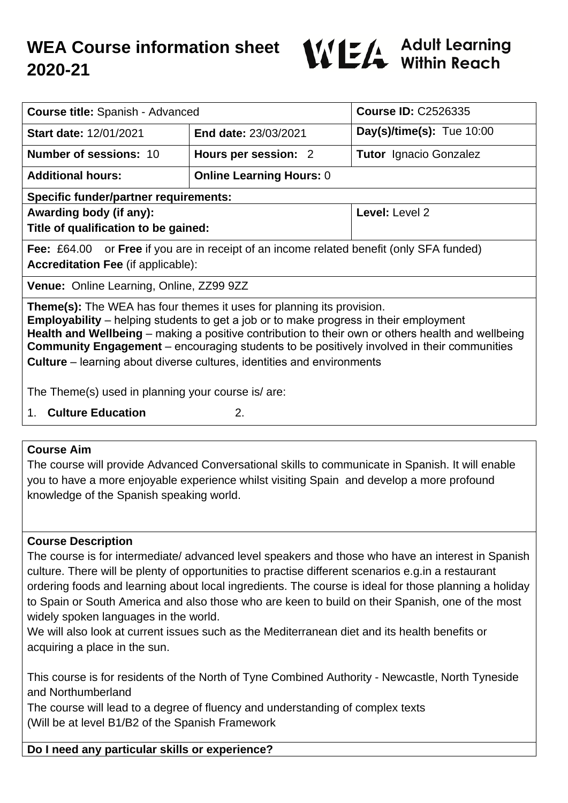# **WEA Course information sheet 2020-21**



| Course title: Spanish - Advanced                                                                                                                                                                                                                                                                                                                                                                                                                                        |                                 | <b>Course ID: C2526335</b>    |
|-------------------------------------------------------------------------------------------------------------------------------------------------------------------------------------------------------------------------------------------------------------------------------------------------------------------------------------------------------------------------------------------------------------------------------------------------------------------------|---------------------------------|-------------------------------|
| <b>Start date: 12/01/2021</b>                                                                                                                                                                                                                                                                                                                                                                                                                                           | End date: 23/03/2021            | Day(s)/time(s): Tue $10:00$   |
| <b>Number of sessions: 10</b>                                                                                                                                                                                                                                                                                                                                                                                                                                           | Hours per session: 2            | <b>Tutor</b> Ignacio Gonzalez |
| <b>Additional hours:</b>                                                                                                                                                                                                                                                                                                                                                                                                                                                | <b>Online Learning Hours: 0</b> |                               |
| <b>Specific funder/partner requirements:</b>                                                                                                                                                                                                                                                                                                                                                                                                                            |                                 |                               |
| Awarding body (if any):                                                                                                                                                                                                                                                                                                                                                                                                                                                 |                                 | Level: Level 2                |
| Title of qualification to be gained:                                                                                                                                                                                                                                                                                                                                                                                                                                    |                                 |                               |
| <b>Fee:</b> £64.00 or <b>Free</b> if you are in receipt of an income related benefit (only SFA funded)                                                                                                                                                                                                                                                                                                                                                                  |                                 |                               |
| <b>Accreditation Fee (if applicable):</b>                                                                                                                                                                                                                                                                                                                                                                                                                               |                                 |                               |
| Venue: Online Learning, Online, ZZ99 9ZZ                                                                                                                                                                                                                                                                                                                                                                                                                                |                                 |                               |
| <b>Theme(s):</b> The WEA has four themes it uses for planning its provision.<br><b>Employability</b> – helping students to get a job or to make progress in their employment<br>Health and Wellbeing - making a positive contribution to their own or others health and wellbeing<br><b>Community Engagement</b> – encouraging students to be positively involved in their communities<br><b>Culture</b> – learning about diverse cultures, identities and environments |                                 |                               |
| The Theme(s) used in planning your course is/are:                                                                                                                                                                                                                                                                                                                                                                                                                       |                                 |                               |
| <b>Culture Education</b><br>2.<br>1.                                                                                                                                                                                                                                                                                                                                                                                                                                    |                                 |                               |

#### **Course Aim**

The course will provide Advanced Conversational skills to communicate in Spanish. It will enable you to have a more enjoyable experience whilst visiting Spain and develop a more profound knowledge of the Spanish speaking world.

#### **Course Description**

The course is for intermediate/ advanced level speakers and those who have an interest in Spanish culture. There will be plenty of opportunities to practise different scenarios e.g.in a restaurant ordering foods and learning about local ingredients. The course is ideal for those planning a holiday to Spain or South America and also those who are keen to build on their Spanish, one of the most widely spoken languages in the world.

We will also look at current issues such as the Mediterranean diet and its health benefits or acquiring a place in the sun.

This course is for residents of the North of Tyne Combined Authority - Newcastle, North Tyneside and Northumberland

The course will lead to a degree of fluency and understanding of complex texts (Will be at level B1/B2 of the Spanish Framework

## **Do I need any particular skills or experience?**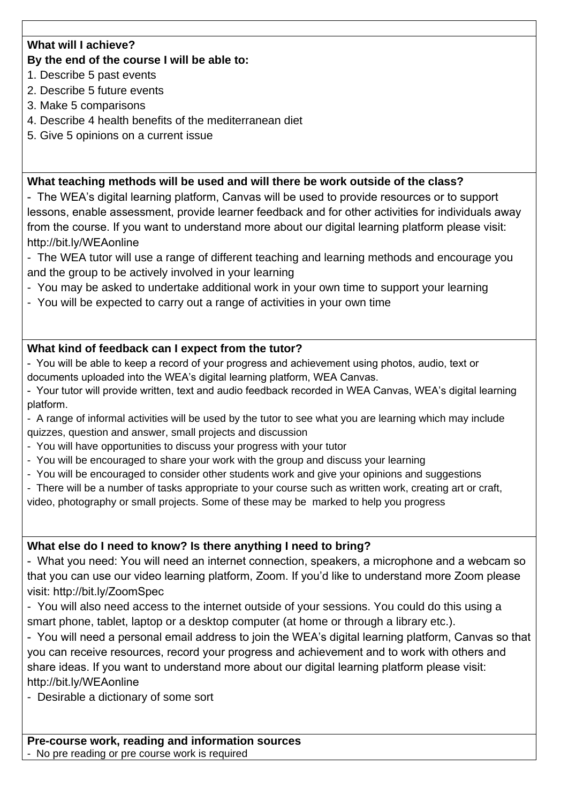### **What will I achieve?**

#### **By the end of the course I will be able to:**

- 1. Describe 5 past events
- 2. Describe 5 future events
- 3. Make 5 comparisons
- 4. Describe 4 health benefits of the mediterranean diet
- 5. Give 5 opinions on a current issue

#### **What teaching methods will be used and will there be work outside of the class?**

- The WEA's digital learning platform, Canvas will be used to provide resources or to support lessons, enable assessment, provide learner feedback and for other activities for individuals away from the course. If you want to understand more about our digital learning platform please visit: http://bit.ly/WEAonline

- The WEA tutor will use a range of different teaching and learning methods and encourage you and the group to be actively involved in your learning
- You may be asked to undertake additional work in your own time to support your learning
- You will be expected to carry out a range of activities in your own time

### **What kind of feedback can I expect from the tutor?**

- You will be able to keep a record of your progress and achievement using photos, audio, text or documents uploaded into the WEA's digital learning platform, WEA Canvas.
- Your tutor will provide written, text and audio feedback recorded in WEA Canvas, WEA's digital learning platform.
- A range of informal activities will be used by the tutor to see what you are learning which may include quizzes, question and answer, small projects and discussion
- You will have opportunities to discuss your progress with your tutor
- You will be encouraged to share your work with the group and discuss your learning
- You will be encouraged to consider other students work and give your opinions and suggestions
- There will be a number of tasks appropriate to your course such as written work, creating art or craft,

video, photography or small projects. Some of these may be marked to help you progress

#### **What else do I need to know? Is there anything I need to bring?**

- What you need: You will need an internet connection, speakers, a microphone and a webcam so that you can use our video learning platform, Zoom. If you'd like to understand more Zoom please visit: http://bit.ly/ZoomSpec

- You will also need access to the internet outside of your sessions. You could do this using a smart phone, tablet, laptop or a desktop computer (at home or through a library etc.).

- You will need a personal email address to join the WEA's digital learning platform, Canvas so that you can receive resources, record your progress and achievement and to work with others and share ideas. If you want to understand more about our digital learning platform please visit: http://bit.ly/WEAonline

- Desirable a dictionary of some sort

**Pre-course work, reading and information sources** - No pre reading or pre course work is required